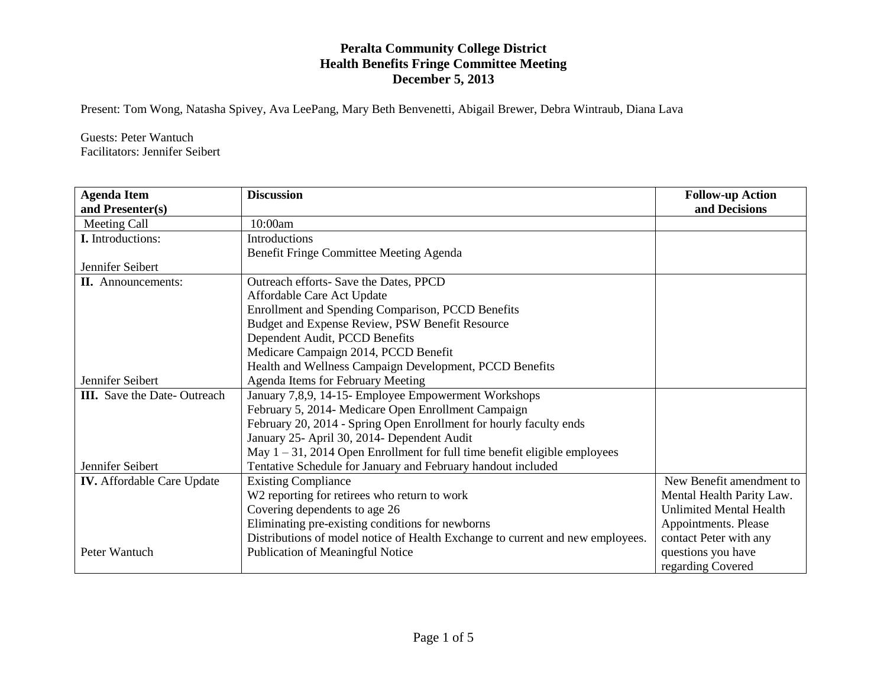Present: Tom Wong, Natasha Spivey, Ava LeePang, Mary Beth Benvenetti, Abigail Brewer, Debra Wintraub, Diana Lava

Guests: Peter Wantuch Facilitators: Jennifer Seibert

| <b>Agenda Item</b>                 | <b>Discussion</b>                                                              | <b>Follow-up Action</b>        |
|------------------------------------|--------------------------------------------------------------------------------|--------------------------------|
| and Presenter(s)                   |                                                                                | and Decisions                  |
| Meeting Call                       | 10:00am                                                                        |                                |
| <b>I.</b> Introductions:           | Introductions                                                                  |                                |
|                                    | Benefit Fringe Committee Meeting Agenda                                        |                                |
| Jennifer Seibert                   |                                                                                |                                |
| <b>II.</b> Announcements:          | Outreach efforts- Save the Dates, PPCD                                         |                                |
|                                    | Affordable Care Act Update                                                     |                                |
|                                    | Enrollment and Spending Comparison, PCCD Benefits                              |                                |
|                                    | Budget and Expense Review, PSW Benefit Resource                                |                                |
|                                    | Dependent Audit, PCCD Benefits                                                 |                                |
|                                    | Medicare Campaign 2014, PCCD Benefit                                           |                                |
|                                    | Health and Wellness Campaign Development, PCCD Benefits                        |                                |
| Jennifer Seibert                   | Agenda Items for February Meeting                                              |                                |
| <b>III.</b> Save the Date-Outreach | January 7,8,9, 14-15- Employee Empowerment Workshops                           |                                |
|                                    | February 5, 2014- Medicare Open Enrollment Campaign                            |                                |
|                                    | February 20, 2014 - Spring Open Enrollment for hourly faculty ends             |                                |
|                                    | January 25- April 30, 2014- Dependent Audit                                    |                                |
|                                    | May $1 - 31$ , 2014 Open Enrollment for full time benefit eligible employees   |                                |
| Jennifer Seibert                   | Tentative Schedule for January and February handout included                   |                                |
| <b>IV.</b> Affordable Care Update  | <b>Existing Compliance</b>                                                     | New Benefit amendment to       |
|                                    | W2 reporting for retirees who return to work                                   | Mental Health Parity Law.      |
|                                    | Covering dependents to age 26                                                  | <b>Unlimited Mental Health</b> |
|                                    | Eliminating pre-existing conditions for newborns                               | Appointments. Please           |
|                                    | Distributions of model notice of Health Exchange to current and new employees. | contact Peter with any         |
| Peter Wantuch                      | Publication of Meaningful Notice                                               | questions you have             |
|                                    |                                                                                | regarding Covered              |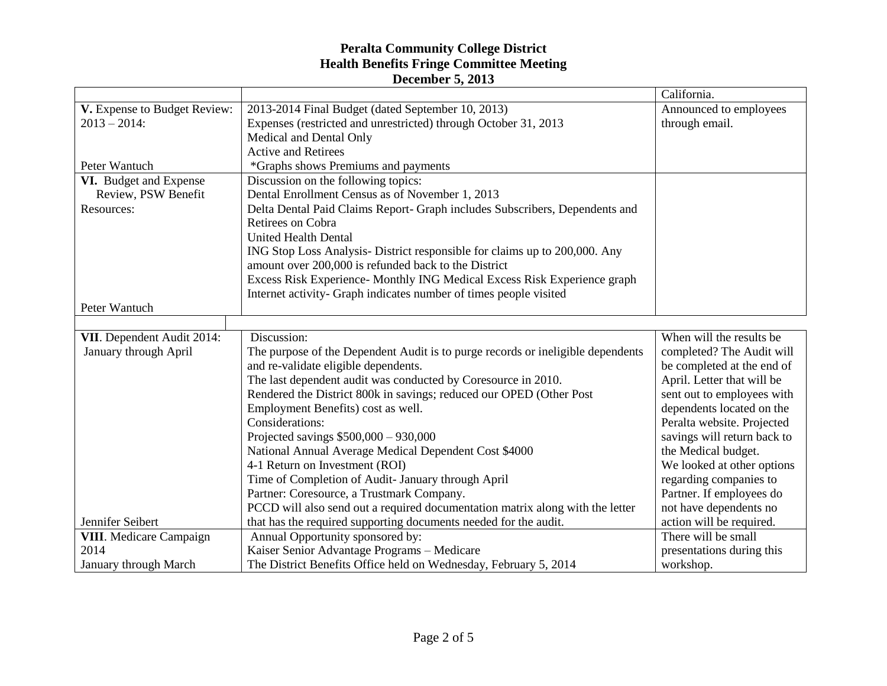|                                |                                                                                 | California.                 |
|--------------------------------|---------------------------------------------------------------------------------|-----------------------------|
| V. Expense to Budget Review:   | 2013-2014 Final Budget (dated September 10, 2013)                               | Announced to employees      |
| $2013 - 2014$ :                | Expenses (restricted and unrestricted) through October 31, 2013                 | through email.              |
|                                | Medical and Dental Only                                                         |                             |
|                                | <b>Active and Retirees</b>                                                      |                             |
| Peter Wantuch                  | *Graphs shows Premiums and payments                                             |                             |
| VI. Budget and Expense         | Discussion on the following topics:                                             |                             |
| Review, PSW Benefit            | Dental Enrollment Census as of November 1, 2013                                 |                             |
| Resources:                     | Delta Dental Paid Claims Report- Graph includes Subscribers, Dependents and     |                             |
|                                | Retirees on Cobra                                                               |                             |
|                                | <b>United Health Dental</b>                                                     |                             |
|                                | ING Stop Loss Analysis-District responsible for claims up to 200,000. Any       |                             |
|                                | amount over 200,000 is refunded back to the District                            |                             |
|                                | Excess Risk Experience- Monthly ING Medical Excess Risk Experience graph        |                             |
|                                | Internet activity- Graph indicates number of times people visited               |                             |
| Peter Wantuch                  |                                                                                 |                             |
|                                |                                                                                 |                             |
| VII. Dependent Audit 2014:     | Discussion:                                                                     | When will the results be    |
| January through April          | The purpose of the Dependent Audit is to purge records or ineligible dependents | completed? The Audit will   |
|                                | and re-validate eligible dependents.                                            | be completed at the end of  |
|                                | The last dependent audit was conducted by Coresource in 2010.                   | April. Letter that will be  |
|                                | Rendered the District 800k in savings; reduced our OPED (Other Post             | sent out to employees with  |
|                                | Employment Benefits) cost as well.                                              | dependents located on the   |
|                                | Considerations:                                                                 | Peralta website. Projected  |
|                                | Projected savings $$500,000 - 930,000$                                          | savings will return back to |
|                                | National Annual Average Medical Dependent Cost \$4000                           | the Medical budget.         |
|                                | 4-1 Return on Investment (ROI)                                                  | We looked at other options  |
|                                | Time of Completion of Audit- January through April                              | regarding companies to      |
|                                | Partner: Coresource, a Trustmark Company.                                       | Partner. If employees do    |
|                                | PCCD will also send out a required documentation matrix along with the letter   | not have dependents no      |
| Jennifer Seibert               | that has the required supporting documents needed for the audit.                | action will be required.    |
| <b>VIII.</b> Medicare Campaign | Annual Opportunity sponsored by:                                                | There will be small         |
| 2014                           | Kaiser Senior Advantage Programs - Medicare                                     | presentations during this   |
| January through March          | The District Benefits Office held on Wednesday, February 5, 2014                | workshop.                   |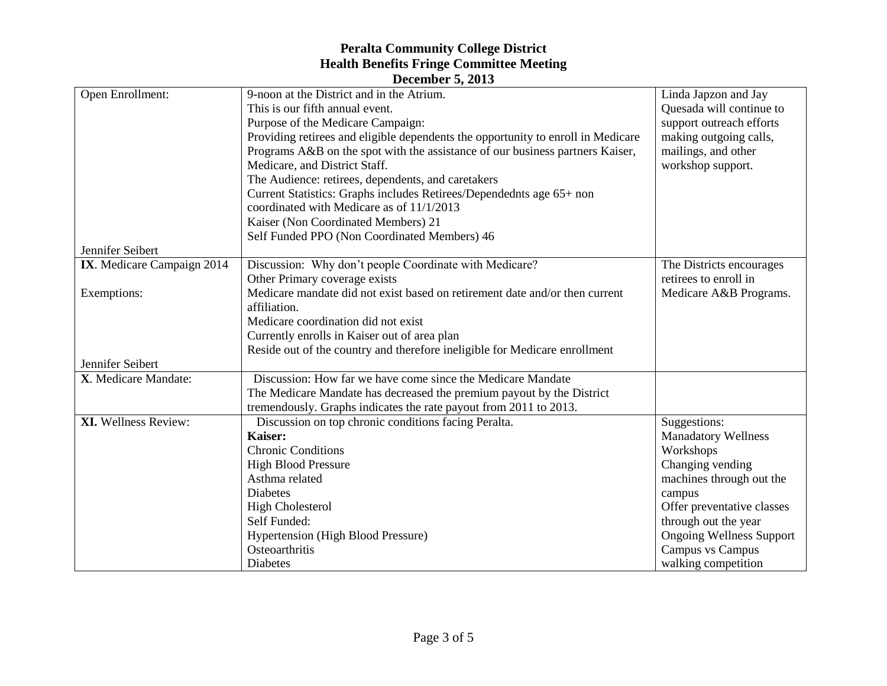| <b>December 5, 2013</b>     |                                                                                             |                                 |  |  |
|-----------------------------|---------------------------------------------------------------------------------------------|---------------------------------|--|--|
| Open Enrollment:            | 9-noon at the District and in the Atrium.                                                   | Linda Japzon and Jay            |  |  |
|                             | This is our fifth annual event.                                                             | Quesada will continue to        |  |  |
|                             | Purpose of the Medicare Campaign:                                                           | support outreach efforts        |  |  |
|                             | Providing retirees and eligible dependents the opportunity to enroll in Medicare            | making outgoing calls,          |  |  |
|                             | Programs A&B on the spot with the assistance of our business partners Kaiser,               | mailings, and other             |  |  |
|                             | Medicare, and District Staff.                                                               | workshop support.               |  |  |
|                             | The Audience: retirees, dependents, and caretakers                                          |                                 |  |  |
|                             | Current Statistics: Graphs includes Retirees/Dependednts age 65+ non                        |                                 |  |  |
|                             | coordinated with Medicare as of 11/1/2013                                                   |                                 |  |  |
|                             | Kaiser (Non Coordinated Members) 21                                                         |                                 |  |  |
|                             | Self Funded PPO (Non Coordinated Members) 46                                                |                                 |  |  |
| Jennifer Seibert            |                                                                                             |                                 |  |  |
| IX. Medicare Campaign 2014  | Discussion: Why don't people Coordinate with Medicare?                                      | The Districts encourages        |  |  |
|                             | Other Primary coverage exists                                                               | retirees to enroll in           |  |  |
| Exemptions:                 | Medicare mandate did not exist based on retirement date and/or then current<br>affiliation. | Medicare A&B Programs.          |  |  |
|                             | Medicare coordination did not exist                                                         |                                 |  |  |
|                             |                                                                                             |                                 |  |  |
|                             | Currently enrolls in Kaiser out of area plan                                                |                                 |  |  |
| Jennifer Seibert            | Reside out of the country and therefore ineligible for Medicare enrollment                  |                                 |  |  |
| X. Medicare Mandate:        | Discussion: How far we have come since the Medicare Mandate                                 |                                 |  |  |
|                             | The Medicare Mandate has decreased the premium payout by the District                       |                                 |  |  |
|                             | tremendously. Graphs indicates the rate payout from 2011 to 2013.                           |                                 |  |  |
| <b>XI.</b> Wellness Review: | Discussion on top chronic conditions facing Peralta.                                        | Suggestions:                    |  |  |
|                             | Kaiser:                                                                                     | <b>Manadatory Wellness</b>      |  |  |
|                             | <b>Chronic Conditions</b>                                                                   | Workshops                       |  |  |
|                             | <b>High Blood Pressure</b>                                                                  | Changing vending                |  |  |
|                             | Asthma related                                                                              | machines through out the        |  |  |
|                             | <b>Diabetes</b>                                                                             | campus                          |  |  |
|                             | <b>High Cholesterol</b>                                                                     | Offer preventative classes      |  |  |
|                             | Self Funded:                                                                                | through out the year            |  |  |
|                             | <b>Hypertension (High Blood Pressure)</b>                                                   | <b>Ongoing Wellness Support</b> |  |  |
|                             | Osteoarthritis                                                                              | Campus vs Campus                |  |  |
|                             | Diabetes                                                                                    | walking competition             |  |  |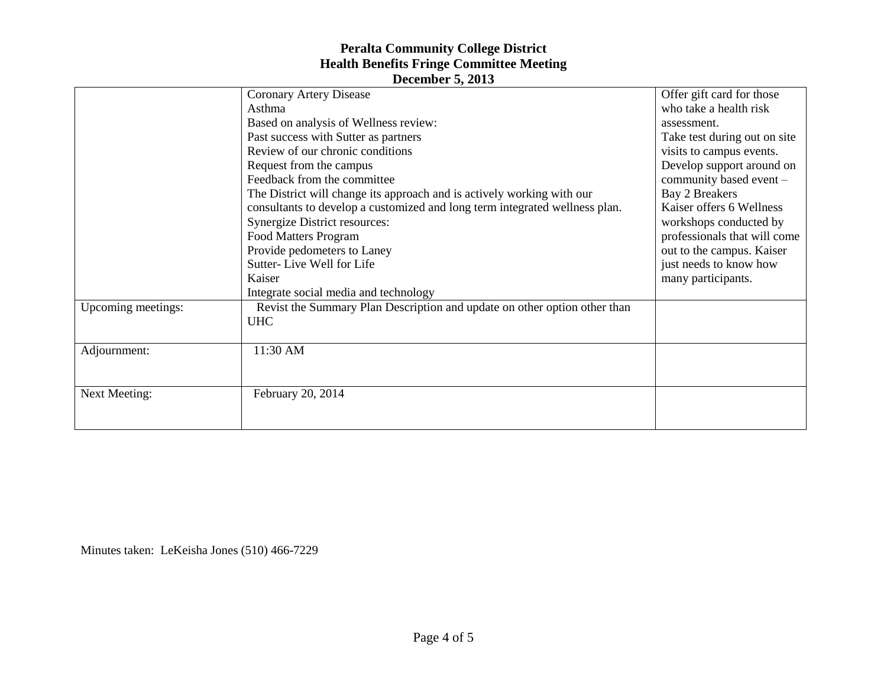| $\sim$ ccento el 9, 2019 |                                                                             |                              |  |  |
|--------------------------|-----------------------------------------------------------------------------|------------------------------|--|--|
|                          | <b>Coronary Artery Disease</b>                                              | Offer gift card for those    |  |  |
|                          | Asthma                                                                      | who take a health risk       |  |  |
|                          | Based on analysis of Wellness review:                                       | assessment.                  |  |  |
|                          | Past success with Sutter as partners                                        | Take test during out on site |  |  |
|                          | Review of our chronic conditions                                            | visits to campus events.     |  |  |
|                          | Request from the campus                                                     | Develop support around on    |  |  |
|                          | Feedback from the committee                                                 | community based event -      |  |  |
|                          | The District will change its approach and is actively working with our      | <b>Bay 2 Breakers</b>        |  |  |
|                          | consultants to develop a customized and long term integrated wellness plan. | Kaiser offers 6 Wellness     |  |  |
|                          | <b>Synergize District resources:</b>                                        | workshops conducted by       |  |  |
|                          | Food Matters Program                                                        | professionals that will come |  |  |
|                          | Provide pedometers to Laney                                                 | out to the campus. Kaiser    |  |  |
|                          | Sutter-Live Well for Life                                                   | just needs to know how       |  |  |
|                          | Kaiser                                                                      | many participants.           |  |  |
|                          | Integrate social media and technology                                       |                              |  |  |
| Upcoming meetings:       | Revist the Summary Plan Description and update on other option other than   |                              |  |  |
|                          | <b>UHC</b>                                                                  |                              |  |  |
|                          |                                                                             |                              |  |  |
| Adjournment:             | 11:30 AM                                                                    |                              |  |  |
|                          |                                                                             |                              |  |  |
|                          |                                                                             |                              |  |  |
| <b>Next Meeting:</b>     | February 20, 2014                                                           |                              |  |  |
|                          |                                                                             |                              |  |  |
|                          |                                                                             |                              |  |  |
|                          |                                                                             |                              |  |  |

Minutes taken: LeKeisha Jones (510) 466-7229